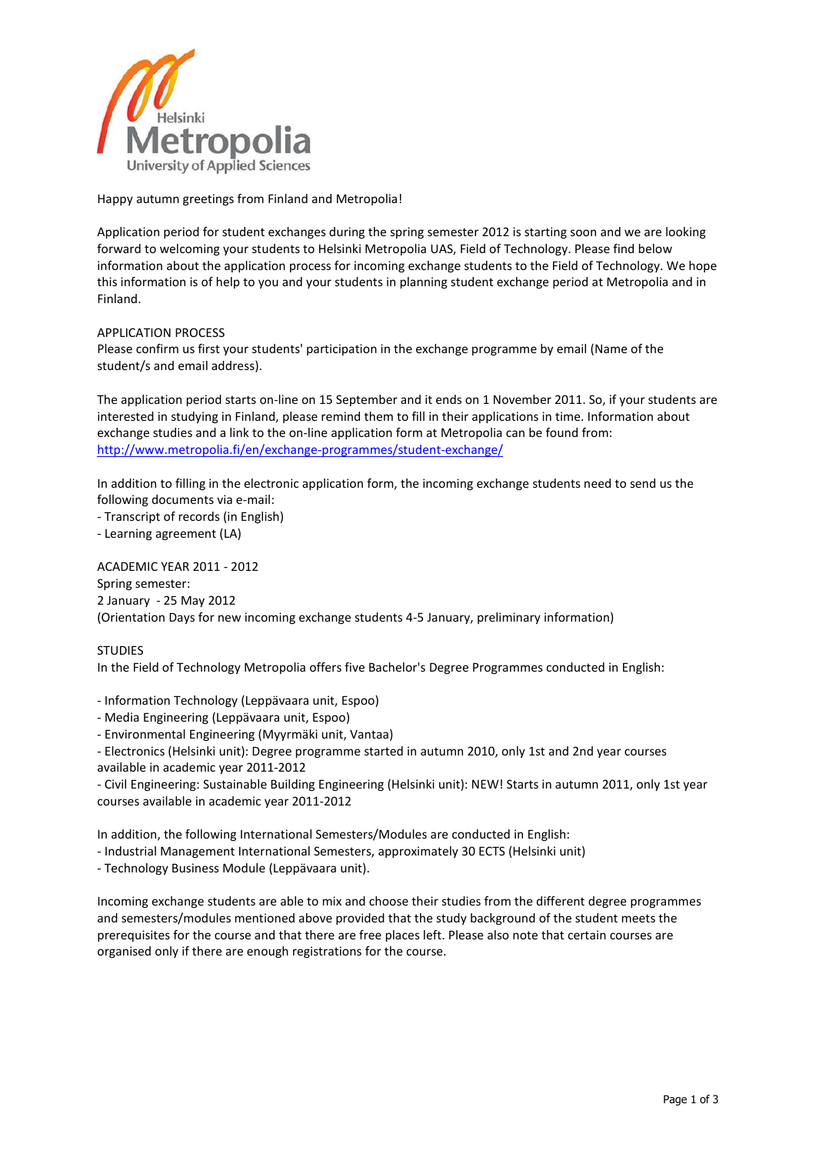

Happy autumn greetings from Finland and Metropolia!

Application period for student exchanges during the spring semester 2012 is starting soon and we are looking forward to welcoming your students to Helsinki Metropolia UAS, Field of Technology. Please find below information about the application process for incoming exchange students to the Field of Technology. We hope this information is of help to you and your students in planning student exchange period at Metropolia and in Finland.

## APPLICATION PROCESS

Please confirm us first your students' participation in the exchange programme by email (Name of the student/s and email address).

The application period starts on-line on 15 September and it ends on 1 November 2011. So, if your students are interested in studying in Finland, please remind them to fill in their applications in time. Information about exchange studies and a link to the on-line application form at Metropolia can be found from: http://www.metropolia.fi/en/exchange-programmes/student-exchange/

In addition to filling in the electronic application form, the incoming exchange students need to send us the following documents via e-mail:

- Transcript of records (in English)

- Learning agreement (LA)

ACADEMIC YEAR 2011 - 2012 Spring semester: 2 January - 25 May 2012 (Orientation Days for new incoming exchange students 4-5 January, preliminary information)

## **STUDIES**

In the Field of Technology Metropolia offers five Bachelor's Degree Programmes conducted in English:

- Information Technology (Leppävaara unit, Espoo)

- Media Engineering (Leppävaara unit, Espoo)

- Environmental Engineering (Myyrmäki unit, Vantaa)

- Electronics (Helsinki unit): Degree programme started in autumn 2010, only 1st and 2nd year courses available in academic year 2011-2012

- Civil Engineering: Sustainable Building Engineering (Helsinki unit): NEW! Starts in autumn 2011, only 1st year courses available in academic year 2011-2012

In addition, the following International Semesters/Modules are conducted in English:

- Industrial Management International Semesters, approximately 30 ECTS (Helsinki unit)

- Technology Business Module (Leppävaara unit).

Incoming exchange students are able to mix and choose their studies from the different degree programmes and semesters/modules mentioned above provided that the study background of the student meets the prerequisites for the course and that there are free places left. Please also note that certain courses are organised only if there are enough registrations for the course.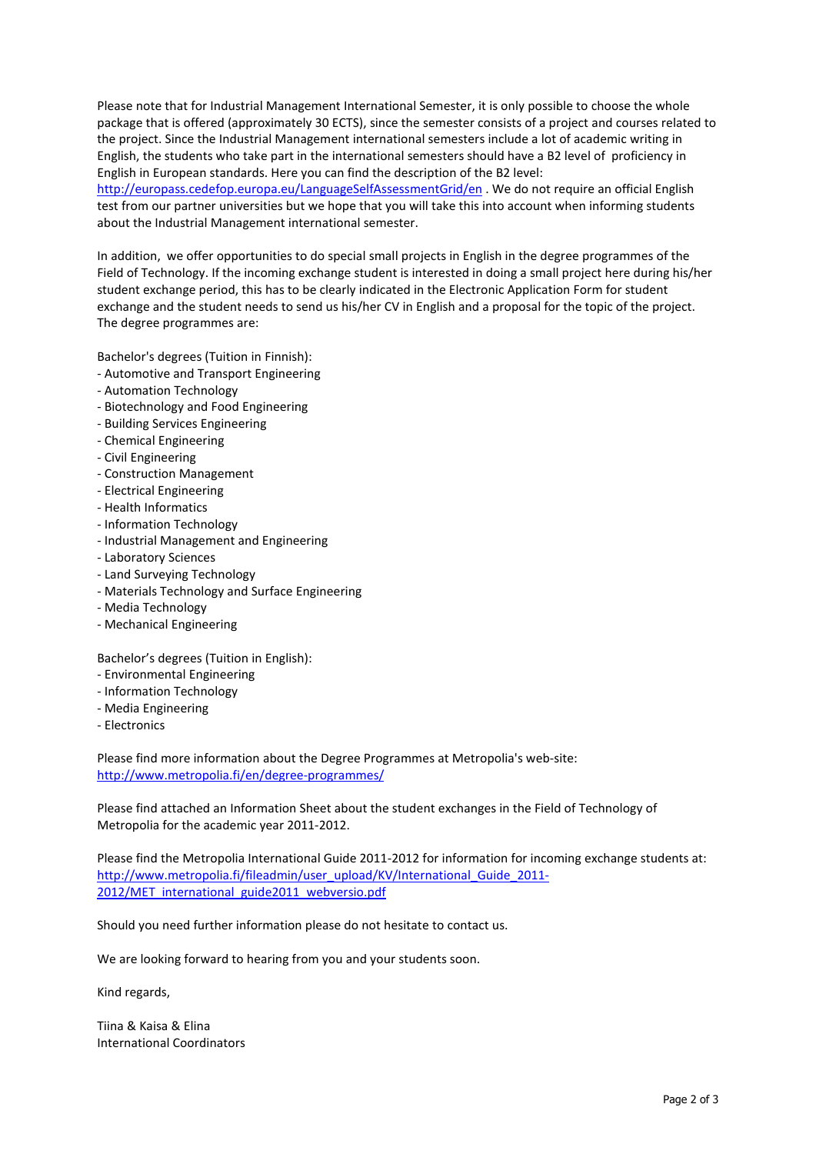Please note that for Industrial Management International Semester, it is only possible to choose the whole package that is offered (approximately 30 ECTS), since the semester consists of a project and courses related to the project. Since the Industrial Management international semesters include a lot of academic writing in English, the students who take part in the international semesters should have a B2 level of proficiency in English in European standards. Here you can find the description of the B2 level: http://europass.cedefop.europa.eu/LanguageSelfAssessmentGrid/en . We do not require an official English test from our partner universities but we hope that you will take this into account when informing students about the Industrial Management international semester.

In addition, we offer opportunities to do special small projects in English in the degree programmes of the Field of Technology. If the incoming exchange student is interested in doing a small project here during his/her student exchange period, this has to be clearly indicated in the Electronic Application Form for student exchange and the student needs to send us his/her CV in English and a proposal for the topic of the project. The degree programmes are:

Bachelor's degrees (Tuition in Finnish):

- Automotive and Transport Engineering
- Automation Technology
- Biotechnology and Food Engineering
- Building Services Engineering
- Chemical Engineering
- Civil Engineering
- Construction Management
- Electrical Engineering
- Health Informatics
- Information Technology
- Industrial Management and Engineering
- Laboratory Sciences
- Land Surveying Technology
- Materials Technology and Surface Engineering
- Media Technology
- Mechanical Engineering

Bachelor's degrees (Tuition in English):

- Environmental Engineering
- Information Technology
- Media Engineering
- Electronics

Please find more information about the Degree Programmes at Metropolia's web-site: http://www.metropolia.fi/en/degree-programmes/

Please find attached an Information Sheet about the student exchanges in the Field of Technology of Metropolia for the academic year 2011-2012.

Please find the Metropolia International Guide 2011-2012 for information for incoming exchange students at: http://www.metropolia.fi/fileadmin/user\_upload/KV/International\_Guide\_2011-2012/MET international guide2011 webversio.pdf

Should you need further information please do not hesitate to contact us.

We are looking forward to hearing from you and your students soon.

Kind regards,

Tiina & Kaisa & Elina International Coordinators